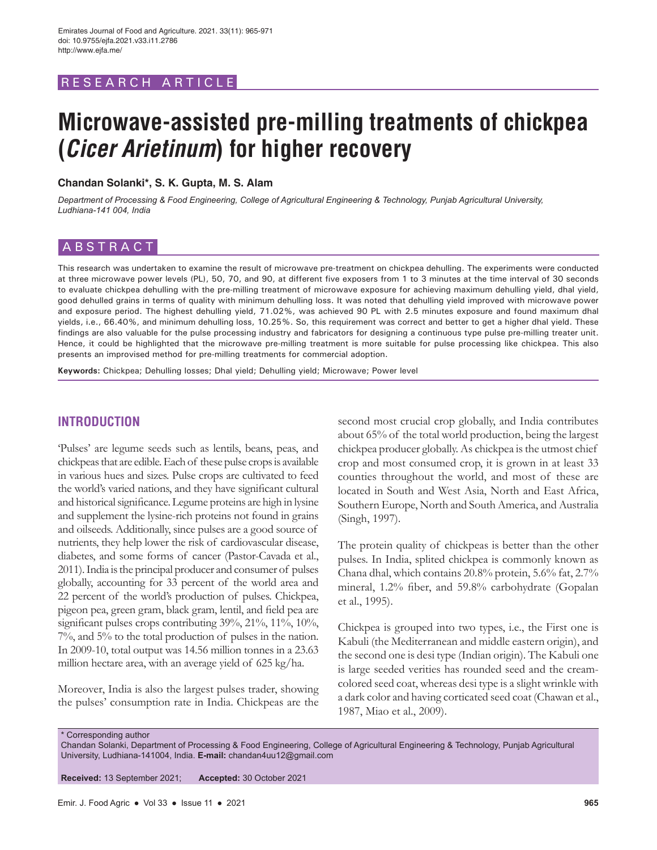# RESEARCH ARTICL

# **Microwave-assisted pre-milling treatments of chickpea (Cicer Arietinum) for higher recovery**

**Chandan Solanki\*, S. K. Gupta, M. S. Alam**

*Department of Processing & Food Engineering, College of Agricultural Engineering & Technology, Punjab Agricultural University, Ludhiana-141 004, India*

# ABSTRACT

This research was undertaken to examine the result of microwave pre-treatment on chickpea dehulling. The experiments were conducted at three microwave power levels (PL), 50, 70, and 90, at different five exposers from 1 to 3 minutes at the time interval of 30 seconds to evaluate chickpea dehulling with the pre-milling treatment of microwave exposure for achieving maximum dehulling yield, dhal yield, good dehulled grains in terms of quality with minimum dehulling loss. It was noted that dehulling yield improved with microwave power and exposure period. The highest dehulling yield, 71.02%, was achieved 90 PL with 2.5 minutes exposure and found maximum dhal yields, i.e., 66.40%, and minimum dehulling loss, 10.25%. So, this requirement was correct and better to get a higher dhal yield. These findings are also valuable for the pulse processing industry and fabricators for designing a continuous type pulse pre-milling treater unit. Hence, it could be highlighted that the microwave pre-milling treatment is more suitable for pulse processing like chickpea. This also presents an improvised method for pre-milling treatments for commercial adoption.

**Keywords:** Chickpea; Dehulling losses; Dhal yield; Dehulling yield; Microwave; Power level

## **INTRODUCTION**

'Pulses' are legume seeds such as lentils, beans, peas, and chickpeas that are edible. Each of these pulse crops is available in various hues and sizes. Pulse crops are cultivated to feed the world's varied nations, and they have significant cultural and historical significance. Legume proteins are high in lysine and supplement the lysine-rich proteins not found in grains and oilseeds. Additionally, since pulses are a good source of nutrients, they help lower the risk of cardiovascular disease, diabetes, and some forms of cancer (Pastor-Cavada et al., 2011). India is the principal producer and consumer of pulses globally, accounting for 33 percent of the world area and 22 percent of the world's production of pulses. Chickpea, pigeon pea, green gram, black gram, lentil, and field pea are significant pulses crops contributing 39%, 21%, 11%, 10%, 7%, and 5% to the total production of pulses in the nation. In 2009-10, total output was 14.56 million tonnes in a 23.63 million hectare area, with an average yield of 625 kg/ha.

Moreover, India is also the largest pulses trader, showing the pulses' consumption rate in India. Chickpeas are the second most crucial crop globally, and India contributes about 65% of the total world production, being the largest chickpea producer globally. As chickpea is the utmost chief crop and most consumed crop, it is grown in at least 33 counties throughout the world, and most of these are located in South and West Asia, North and East Africa, Southern Europe, North and South America, and Australia (Singh, 1997).

The protein quality of chickpeas is better than the other pulses. In India, splited chickpea is commonly known as Chana dhal, which contains 20.8% protein, 5.6% fat, 2.7% mineral, 1.2% fiber, and 59.8% carbohydrate (Gopalan et al., 1995).

Chickpea is grouped into two types, i.e., the First one is Kabuli (the Mediterranean and middle eastern origin), and the second one is desi type (Indian origin). The Kabuli one is large seeded verities has rounded seed and the creamcolored seed coat, whereas desi type is a slight wrinkle with a dark color and having corticated seed coat (Chawan et al., 1987, Miao et al., 2009).

\* Corresponding author

Chandan Solanki, Department of Processing & Food Engineering, College of Agricultural Engineering & Technology, Punjab Agricultural University, Ludhiana-141004, India. **E-mail:** chandan4uu12@gmail.com

**Received:** 13 September 2021; **Accepted:** 30 October 2021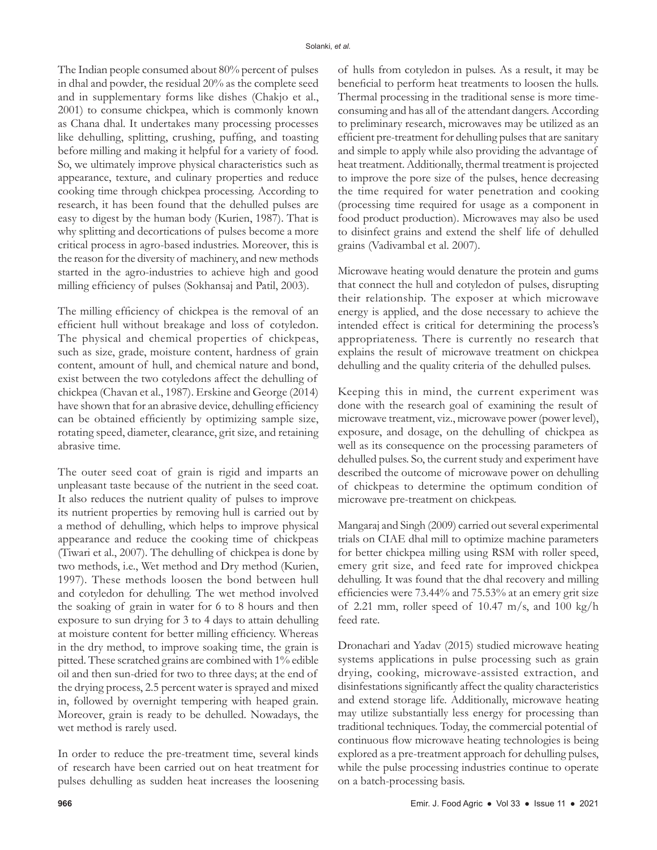The Indian people consumed about 80% percent of pulses in dhal and powder, the residual 20% as the complete seed and in supplementary forms like dishes (Chakjo et al., 2001) to consume chickpea, which is commonly known as Chana dhal. It undertakes many processing processes like dehulling, splitting, crushing, puffing, and toasting before milling and making it helpful for a variety of food. So, we ultimately improve physical characteristics such as appearance, texture, and culinary properties and reduce cooking time through chickpea processing. According to research, it has been found that the dehulled pulses are easy to digest by the human body (Kurien, 1987). That is why splitting and decortications of pulses become a more critical process in agro-based industries. Moreover, this is the reason for the diversity of machinery, and new methods started in the agro-industries to achieve high and good milling efficiency of pulses (Sokhansaj and Patil, 2003).

The milling efficiency of chickpea is the removal of an efficient hull without breakage and loss of cotyledon. The physical and chemical properties of chickpeas, such as size, grade, moisture content, hardness of grain content, amount of hull, and chemical nature and bond, exist between the two cotyledons affect the dehulling of chickpea (Chavan et al., 1987). Erskine and George (2014) have shown that for an abrasive device, dehulling efficiency can be obtained efficiently by optimizing sample size, rotating speed, diameter, clearance, grit size, and retaining abrasive time.

The outer seed coat of grain is rigid and imparts an unpleasant taste because of the nutrient in the seed coat. It also reduces the nutrient quality of pulses to improve its nutrient properties by removing hull is carried out by a method of dehulling, which helps to improve physical appearance and reduce the cooking time of chickpeas (Tiwari et al., 2007). The dehulling of chickpea is done by two methods, i.e., Wet method and Dry method (Kurien, 1997). These methods loosen the bond between hull and cotyledon for dehulling. The wet method involved the soaking of grain in water for 6 to 8 hours and then exposure to sun drying for 3 to 4 days to attain dehulling at moisture content for better milling efficiency. Whereas in the dry method, to improve soaking time, the grain is pitted. These scratched grains are combined with 1% edible oil and then sun-dried for two to three days; at the end of the drying process, 2.5 percent water is sprayed and mixed in, followed by overnight tempering with heaped grain. Moreover, grain is ready to be dehulled. Nowadays, the wet method is rarely used.

In order to reduce the pre-treatment time, several kinds of research have been carried out on heat treatment for pulses dehulling as sudden heat increases the loosening of hulls from cotyledon in pulses. As a result, it may be beneficial to perform heat treatments to loosen the hulls. Thermal processing in the traditional sense is more timeconsuming and has all of the attendant dangers. According to preliminary research, microwaves may be utilized as an efficient pre-treatment for dehulling pulses that are sanitary and simple to apply while also providing the advantage of heat treatment. Additionally, thermal treatment is projected to improve the pore size of the pulses, hence decreasing the time required for water penetration and cooking (processing time required for usage as a component in food product production). Microwaves may also be used to disinfect grains and extend the shelf life of dehulled grains (Vadivambal et al. 2007).

Microwave heating would denature the protein and gums that connect the hull and cotyledon of pulses, disrupting their relationship. The exposer at which microwave energy is applied, and the dose necessary to achieve the intended effect is critical for determining the process's appropriateness. There is currently no research that explains the result of microwave treatment on chickpea dehulling and the quality criteria of the dehulled pulses.

Keeping this in mind, the current experiment was done with the research goal of examining the result of microwave treatment, viz., microwave power (power level), exposure, and dosage, on the dehulling of chickpea as well as its consequence on the processing parameters of dehulled pulses. So, the current study and experiment have described the outcome of microwave power on dehulling of chickpeas to determine the optimum condition of microwave pre-treatment on chickpeas.

Mangaraj and Singh (2009) carried out several experimental trials on CIAE dhal mill to optimize machine parameters for better chickpea milling using RSM with roller speed, emery grit size, and feed rate for improved chickpea dehulling. It was found that the dhal recovery and milling efficiencies were 73.44% and 75.53% at an emery grit size of 2.21 mm, roller speed of 10.47 m/s, and 100 kg/h feed rate.

Dronachari and Yadav (2015) studied microwave heating systems applications in pulse processing such as grain drying, cooking, microwave-assisted extraction, and disinfestations significantly affect the quality characteristics and extend storage life. Additionally, microwave heating may utilize substantially less energy for processing than traditional techniques. Today, the commercial potential of continuous flow microwave heating technologies is being explored as a pre-treatment approach for dehulling pulses, while the pulse processing industries continue to operate on a batch-processing basis.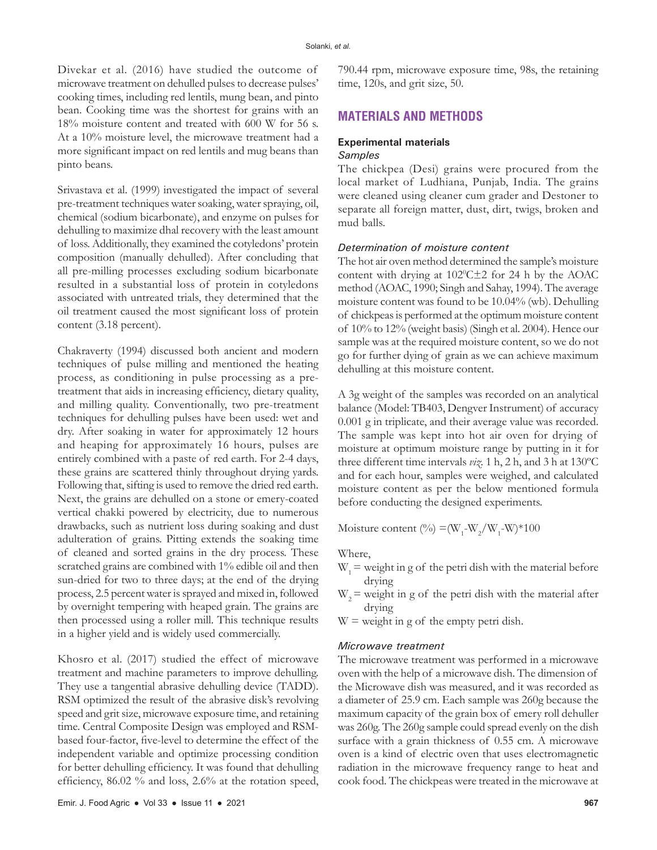Divekar et al. (2016) have studied the outcome of microwave treatment on dehulled pulses to decrease pulses' cooking times, including red lentils, mung bean, and pinto bean. Cooking time was the shortest for grains with an 18% moisture content and treated with 600 W for 56 s. At a 10% moisture level, the microwave treatment had a more significant impact on red lentils and mug beans than pinto beans.

Srivastava et al. (1999) investigated the impact of several pre-treatment techniques water soaking, water spraying, oil, chemical (sodium bicarbonate), and enzyme on pulses for dehulling to maximize dhal recovery with the least amount of loss. Additionally, they examined the cotyledons' protein composition (manually dehulled). After concluding that all pre-milling processes excluding sodium bicarbonate resulted in a substantial loss of protein in cotyledons associated with untreated trials, they determined that the oil treatment caused the most significant loss of protein content (3.18 percent).

Chakraverty (1994) discussed both ancient and modern techniques of pulse milling and mentioned the heating process, as conditioning in pulse processing as a pretreatment that aids in increasing efficiency, dietary quality, and milling quality. Conventionally, two pre-treatment techniques for dehulling pulses have been used: wet and dry. After soaking in water for approximately 12 hours and heaping for approximately 16 hours, pulses are entirely combined with a paste of red earth. For 2-4 days, these grains are scattered thinly throughout drying yards. Following that, sifting is used to remove the dried red earth. Next, the grains are dehulled on a stone or emery-coated vertical chakki powered by electricity, due to numerous drawbacks, such as nutrient loss during soaking and dust adulteration of grains. Pitting extends the soaking time of cleaned and sorted grains in the dry process. These scratched grains are combined with 1% edible oil and then sun-dried for two to three days; at the end of the drying process, 2.5 percent water is sprayed and mixed in, followed by overnight tempering with heaped grain. The grains are then processed using a roller mill. This technique results in a higher yield and is widely used commercially.

Khosro et al. (2017) studied the effect of microwave treatment and machine parameters to improve dehulling. They use a tangential abrasive dehulling device (TADD). RSM optimized the result of the abrasive disk's revolving speed and grit size, microwave exposure time, and retaining time. Central Composite Design was employed and RSMbased four-factor, five-level to determine the effect of the independent variable and optimize processing condition for better dehulling efficiency. It was found that dehulling efficiency, 86.02 % and loss, 2.6% at the rotation speed,

790.44 rpm, microwave exposure time, 98s, the retaining time, 120s, and grit size, 50.

## **MATERIALS AND METHODS**

# **Experimental materials**

## *Samples*

The chickpea (Desi) grains were procured from the local market of Ludhiana, Punjab, India. The grains were cleaned using cleaner cum grader and Destoner to separate all foreign matter, dust, dirt, twigs, broken and mud balls.

#### *Determination of moisture content*

The hot air oven method determined the sample's moisture content with drying at  $102^{\circ}$ C $\pm$ 2 for 24 h by the AOAC method (AOAC, 1990; Singh and Sahay, 1994). The average moisture content was found to be 10.04% (wb). Dehulling of chickpeas is performed at the optimum moisture content of 10% to 12% (weight basis) (Singh et al. 2004). Hence our sample was at the required moisture content, so we do not go for further dying of grain as we can achieve maximum dehulling at this moisture content.

A 3g weight of the samples was recorded on an analytical balance (Model: TB403, Dengver Instrument) of accuracy 0.001 g in triplicate, and their average value was recorded. The sample was kept into hot air oven for drying of moisture at optimum moisture range by putting in it for three different time intervals *viz.* 1 h, 2 h, and 3 h at 130ºC and for each hour, samples were weighed, and calculated moisture content as per the below mentioned formula before conducting the designed experiments.

Moisture content (%) = ( $W_1$ - $W_2/W_1$ - $W$ )\*100

#### Where,

- $W_1$  = weight in g of the petri dish with the material before drying
- $W<sub>2</sub>$  = weight in g of the petri dish with the material after drying
- $W =$  weight in g of the empty petri dish.

#### *Microwave treatment*

The microwave treatment was performed in a microwave oven with the help of a microwave dish. The dimension of the Microwave dish was measured, and it was recorded as a diameter of 25.9 cm. Each sample was 260g because the maximum capacity of the grain box of emery roll dehuller was 260g. The 260g sample could spread evenly on the dish surface with a grain thickness of 0.55 cm. A microwave oven is a kind of electric oven that uses electromagnetic radiation in the microwave frequency range to heat and cook food. The chickpeas were treated in the microwave at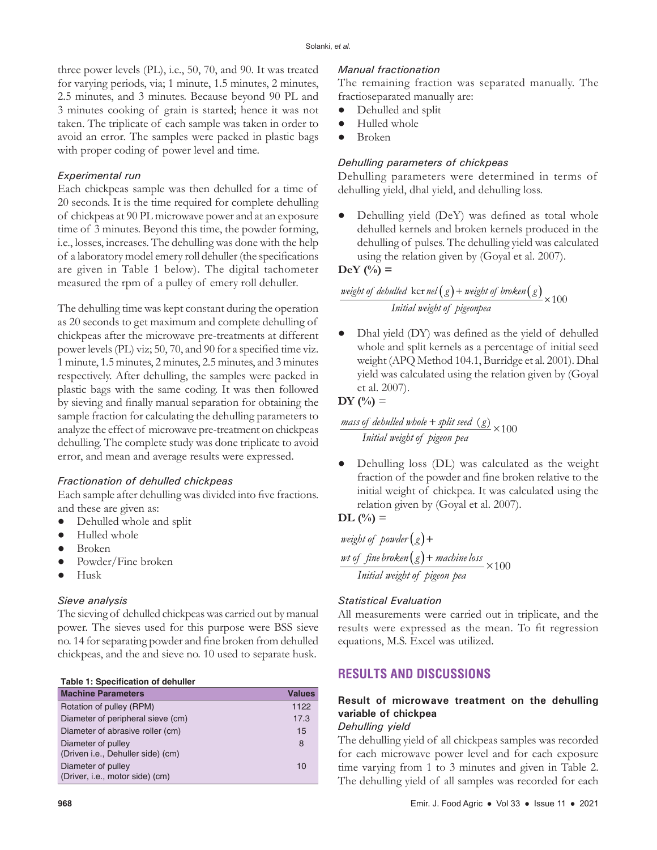three power levels (PL), i.e., 50, 70, and 90. It was treated for varying periods, via; 1 minute, 1.5 minutes, 2 minutes, 2.5 minutes, and 3 minutes. Because beyond 90 PL and 3 minutes cooking of grain is started; hence it was not taken. The triplicate of each sample was taken in order to avoid an error. The samples were packed in plastic bags with proper coding of power level and time.

## *Experimental run*

Each chickpeas sample was then dehulled for a time of 20 seconds. It is the time required for complete dehulling of chickpeas at 90 PL microwave power and at an exposure time of 3 minutes. Beyond this time, the powder forming, i.e., losses, increases. The dehulling was done with the help of a laboratory model emery roll dehuller (the specifications are given in Table 1 below). The digital tachometer measured the rpm of a pulley of emery roll dehuller.

The dehulling time was kept constant during the operation as 20 seconds to get maximum and complete dehulling of chickpeas after the microwave pre-treatments at different power levels (PL) viz; 50, 70, and 90 for a specified time viz. 1 minute, 1.5 minutes, 2 minutes, 2.5 minutes, and 3 minutes respectively. After dehulling, the samples were packed in plastic bags with the same coding. It was then followed by sieving and finally manual separation for obtaining the sample fraction for calculating the dehulling parameters to analyze the effect of microwave pre-treatment on chickpeas dehulling. The complete study was done triplicate to avoid error, and mean and average results were expressed.

## *Fractionation of dehulled chickpeas*

Each sample after dehulling was divided into five fractions. and these are given as:

- Dehulled whole and split
- **●** Hulled whole
- **●** Broken
- Powder/Fine broken
- **●** Husk

## *Sieve analysis*

The sieving of dehulled chickpeas was carried out by manual power. The sieves used for this purpose were BSS sieve no. 14 for separating powder and fine broken from dehulled chickpeas, and the and sieve no. 10 used to separate husk.

|  |  | Table 1: Specification of dehuller |  |  |
|--|--|------------------------------------|--|--|
|--|--|------------------------------------|--|--|

| <b>Machine Parameters</b>         | <b>Values</b> |
|-----------------------------------|---------------|
| Rotation of pulley (RPM)          | 1122          |
| Diameter of peripheral sieve (cm) | 17.3          |
| Diameter of abrasive roller (cm)  | 15            |
| Diameter of pulley                | 8             |
| (Driven i.e., Dehuller side) (cm) |               |
| Diameter of pulley                | 10            |
| (Driver, i.e., motor side) (cm)   |               |

## *Manual fractionation*

The remaining fraction was separated manually. The fractioseparated manually are:

- **●** Dehulled and split
- **●** Hulled whole
- **●** Broken

#### *Dehulling parameters of chickpeas*

Dehulling parameters were determined in terms of dehulling yield, dhal yield, and dehulling loss.

**●** Dehulling yield (DeY) was defined as total whole dehulled kernels and broken kernels produced in the dehulling of pulses. The dehulling yield was calculated using the relation given by (Goyal et al. 2007).

## **DeY (%) =**

 $\frac{weight\ of\ dehulled\ ker\ nel\left({g}\right)+weight\ of\ broken\left({g}\right)}{Initial\ weight\ of\ pigeonpea} \times 100$ *Initial weight of pigeonpea* + weight of broken $(g)$   $\times$ 

**●** Dhal yield (DY) was defined as the yield of dehulled whole and split kernels as a percentage of initial seed weight (APQ Method 104.1, Burridge et al. 2001). Dhal yield was calculated using the relation given by (Goyal et al. 2007).

**DY**  $(^{0}/_{0}) =$ 

 $\frac{mass\ of\ debulled\ whole + split\ seed\ (g)}{Initial\ weight\ of\ pigeon\ pea} \times 100$ *Initial weight of pigeon pea* +

**●** Dehulling loss (DL) was calculated as the weight fraction of the powder and fine broken relative to the initial weight of chickpea. It was calculated using the relation given by (Goyal et al. 2007).

$$
\text{DL} \left( \frac{0}{0} \right) =
$$

weight of powder(g)+  $w$ t of fine broken $(g)$  + machine loss<br>Initial weight of pigeon pea *Initial weight of pigeon pea* +

## *Statistical Evaluation*

All measurements were carried out in triplicate, and the results were expressed as the mean. To fit regression equations, M.S. Excel was utilized.

## **RESULTS AND DISCUSSIONS**

# **Result of microwave treatment on the dehulling variable of chickpea**

## *Dehulling yield*

The dehulling yield of all chickpeas samples was recorded for each microwave power level and for each exposure time varying from 1 to 3 minutes and given in Table 2. The dehulling yield of all samples was recorded for each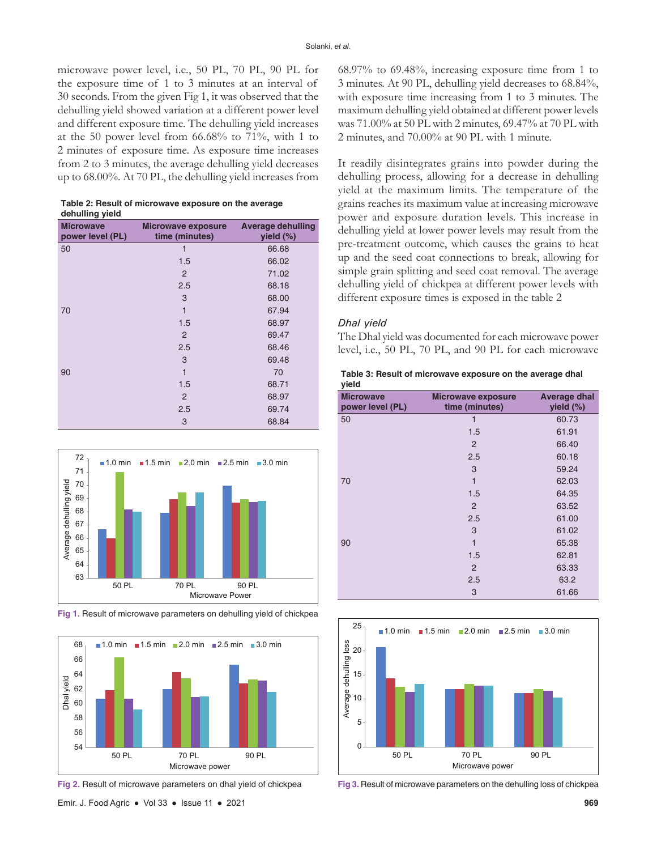microwave power level, i.e., 50 PL, 70 PL, 90 PL for the exposure time of 1 to 3 minutes at an interval of 30 seconds. From the given Fig 1, it was observed that the dehulling yield showed variation at a different power level and different exposure time. The dehulling yield increases at the 50 power level from  $66.68\%$  to  $71\%$ , with 1 to 2 minutes of exposure time. As exposure time increases from 2 to 3 minutes, the average dehulling yield decreases up to 68.00%. At 70 PL, the dehulling yield increases from

| Table 2: Result of microwave exposure on the average |
|------------------------------------------------------|
| dehulling yield                                      |

| <b>Microwave</b><br>power level (PL) | <b>Microwave exposure</b><br>time (minutes) | <b>Average dehulling</b><br>yield $(\%)$ |
|--------------------------------------|---------------------------------------------|------------------------------------------|
| 50                                   | 1                                           | 66.68                                    |
|                                      | 1.5                                         | 66.02                                    |
|                                      | $\overline{2}$                              | 71.02                                    |
|                                      | 2.5                                         | 68.18                                    |
|                                      | 3                                           | 68.00                                    |
| 70                                   | 1                                           | 67.94                                    |
|                                      | 1.5                                         | 68.97                                    |
|                                      | $\overline{2}$                              | 69.47                                    |
|                                      | 2.5                                         | 68.46                                    |
|                                      | 3                                           | 69.48                                    |
| 90                                   | 1                                           | 70                                       |
|                                      | 1.5                                         | 68.71                                    |
|                                      | $\overline{2}$                              | 68.97                                    |
|                                      | 2.5                                         | 69.74                                    |
|                                      | 3                                           | 68.84                                    |



**Fig 1.** Result of microwave parameters on dehulling yield of chickpea



**Fig 2.** Result of microwave parameters on dhal yield of chickpea

68.97% to 69.48%, increasing exposure time from 1 to 3 minutes. At 90 PL, dehulling yield decreases to 68.84%, with exposure time increasing from 1 to 3 minutes. The maximum dehulling yield obtained at different power levels was 71.00% at 50 PL with 2 minutes, 69.47% at 70 PL with 2 minutes, and 70.00% at 90 PL with 1 minute.

It readily disintegrates grains into powder during the dehulling process, allowing for a decrease in dehulling yield at the maximum limits. The temperature of the grains reaches its maximum value at increasing microwave power and exposure duration levels. This increase in dehulling yield at lower power levels may result from the pre-treatment outcome, which causes the grains to heat up and the seed coat connections to break, allowing for simple grain splitting and seed coat removal. The average dehulling yield of chickpea at different power levels with different exposure times is exposed in the table 2

#### *Dhal yield*

The Dhal yield was documented for each microwave power level, i.e., 50 PL, 70 PL, and 90 PL for each microwave



| <b>Microwave</b><br>power level (PL) | <b>Microwave exposure</b><br>time (minutes) | <b>Average dhal</b><br>yield (%) |
|--------------------------------------|---------------------------------------------|----------------------------------|
| 50                                   | 1                                           | 60.73                            |
|                                      | 1.5                                         | 61.91                            |
|                                      | $\overline{2}$                              | 66.40                            |
|                                      | 2.5                                         | 60.18                            |
|                                      | 3                                           | 59.24                            |
| 70                                   | 1                                           | 62.03                            |
|                                      | 1.5                                         | 64.35                            |
|                                      | $\overline{2}$                              | 63.52                            |
|                                      | 2.5                                         | 61.00                            |
|                                      | 3                                           | 61.02                            |
| 90                                   | 1                                           | 65.38                            |
|                                      | 1.5                                         | 62.81                            |
|                                      | 2                                           | 63.33                            |
|                                      | 2.5                                         | 63.2                             |
|                                      | 3                                           | 61.66                            |
|                                      |                                             |                                  |



**Fig 3.** Result of microwave parameters on the dehulling loss of chickpea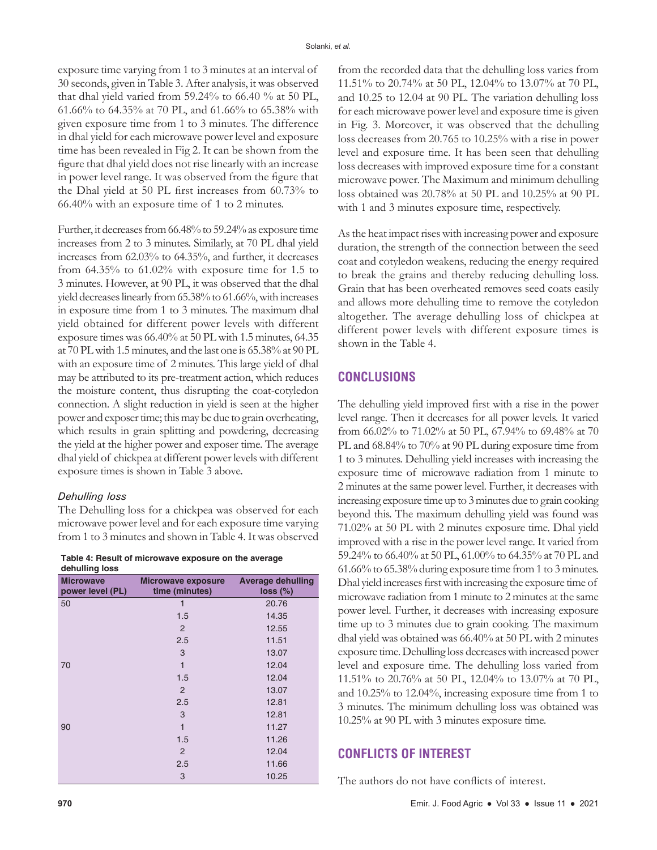exposure time varying from 1 to 3 minutes at an interval of 30 seconds, given in Table 3. After analysis, it was observed that dhal yield varied from 59.24% to 66.40 % at 50 PL, 61.66% to 64.35% at 70 PL, and 61.66% to 65.38% with given exposure time from 1 to 3 minutes. The difference in dhal yield for each microwave power level and exposure time has been revealed in Fig 2. It can be shown from the figure that dhal yield does not rise linearly with an increase in power level range. It was observed from the figure that the Dhal yield at 50 PL first increases from 60.73% to 66.40% with an exposure time of 1 to 2 minutes.

Further, it decreases from 66.48% to 59.24% as exposure time increases from 2 to 3 minutes. Similarly, at 70 PL dhal yield increases from 62.03% to 64.35%, and further, it decreases from 64.35% to 61.02% with exposure time for 1.5 to 3 minutes. However, at 90 PL, it was observed that the dhal yield decreases linearly from 65.38% to 61.66%, with increases in exposure time from 1 to 3 minutes. The maximum dhal yield obtained for different power levels with different exposure times was 66.40% at 50 PL with 1.5 minutes, 64.35 at 70 PL with 1.5minutes, and the last one is 65.38% at 90 PL with an exposure time of 2 minutes. This large yield of dhal may be attributed to its pre-treatment action, which reduces the moisture content, thus disrupting the coat-cotyledon connection. A slight reduction in yield is seen at the higher power and exposer time; this may be due to grain overheating, which results in grain splitting and powdering, decreasing the yield at the higher power and exposer time. The average dhal yield of chickpea at different power levels with different exposure times is shown in Table 3 above.

## *Dehulling loss*

The Dehulling loss for a chickpea was observed for each microwave power level and for each exposure time varying from 1 to 3 minutes and shown in Table 4. It was observed

**Table 4: Result of microwave exposure on the average dehulling loss**

| achamny 1099<br><b>Microwave</b><br>power level (PL) | <b>Microwave exposure</b><br>time (minutes) | <b>Average dehulling</b><br>loss (%) |
|------------------------------------------------------|---------------------------------------------|--------------------------------------|
| 50                                                   | 1                                           | 20.76                                |
|                                                      | 1.5                                         | 14.35                                |
|                                                      | 2                                           | 12.55                                |
|                                                      | 2.5                                         | 11.51                                |
|                                                      | 3                                           | 13.07                                |
| 70                                                   | $\mathbf{1}$                                | 12.04                                |
|                                                      | 1.5                                         | 12.04                                |
|                                                      | 2                                           | 13.07                                |
|                                                      | 2.5                                         | 12.81                                |
|                                                      | 3                                           | 12.81                                |
| 90                                                   | $\mathbf{1}$                                | 11.27                                |
|                                                      | 1.5                                         | 11.26                                |
|                                                      | 2                                           | 12.04                                |
|                                                      | 2.5                                         | 11.66                                |
|                                                      | 3                                           | 10.25                                |

from the recorded data that the dehulling loss varies from 11.51% to 20.74% at 50 PL, 12.04% to 13.07% at 70 PL, and 10.25 to 12.04 at 90 PL. The variation dehulling loss for each microwave power level and exposure time is given in Fig. 3. Moreover, it was observed that the dehulling loss decreases from 20.765 to 10.25% with a rise in power level and exposure time. It has been seen that dehulling loss decreases with improved exposure time for a constant microwave power. The Maximum and minimum dehulling loss obtained was 20.78% at 50 PL and 10.25% at 90 PL with 1 and 3 minutes exposure time, respectively.

As the heat impact rises with increasing power and exposure duration, the strength of the connection between the seed coat and cotyledon weakens, reducing the energy required to break the grains and thereby reducing dehulling loss. Grain that has been overheated removes seed coats easily and allows more dehulling time to remove the cotyledon altogether. The average dehulling loss of chickpea at different power levels with different exposure times is shown in the Table 4.

# **CONCLUSIONS**

The dehulling yield improved first with a rise in the power level range. Then it decreases for all power levels. It varied from 66.02% to 71.02% at 50 PL, 67.94% to 69.48% at 70 PL and 68.84% to 70% at 90 PL during exposure time from 1 to 3 minutes. Dehulling yield increases with increasing the exposure time of microwave radiation from 1 minute to 2 minutes at the same power level. Further, it decreases with increasing exposure time up to 3minutes due to grain cooking beyond this. The maximum dehulling yield was found was 71.02% at 50 PL with 2 minutes exposure time. Dhal yield improved with a rise in the power level range. It varied from 59.24% to 66.40% at 50 PL, 61.00% to 64.35% at 70 PL and 61.66% to 65.38% during exposure time from 1 to 3minutes. Dhal yield increases first with increasing the exposure time of microwave radiation from 1 minute to 2 minutes at the same power level. Further, it decreases with increasing exposure time up to 3 minutes due to grain cooking. The maximum dhal yield was obtained was 66.40% at 50 PL with 2 minutes exposure time. Dehulling loss decreases with increased power level and exposure time. The dehulling loss varied from 11.51% to 20.76% at 50 PL, 12.04% to 13.07% at 70 PL, and 10.25% to 12.04%, increasing exposure time from 1 to 3 minutes. The minimum dehulling loss was obtained was 10.25% at 90 PL with 3 minutes exposure time.

## **CONFLICTS OF INTEREST**

The authors do not have conflicts of interest.